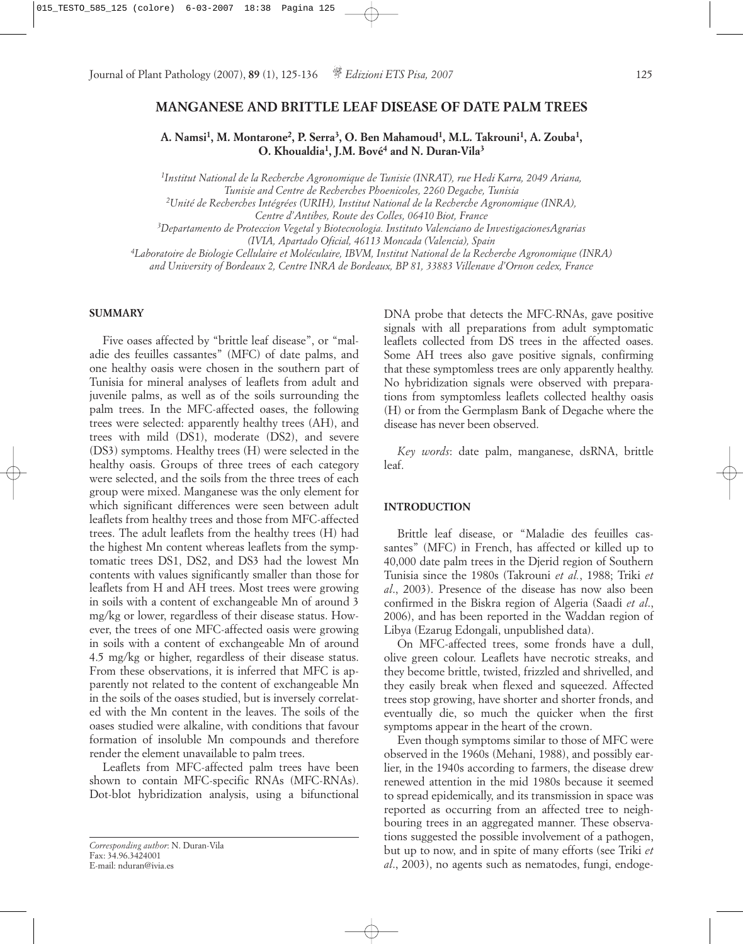# **MANGANESE AND BRITTLE LEAF DISEASE OF DATE PALM TREES**

**A. Namsi1, M. Montarone2, P. Serra3, O. Ben Mahamoud1, M.L. Takrouni1, A. Zouba1, O. Khoualdia1, J.M. Bové4 and N. Duran-Vila3**

*1Institut National de la Recherche Agronomique de Tunisie (INRAT), rue Hedi Karra, 2049 Ariana, Tunisie and Centre de Recherches Phoenicoles, 2260 Degache, Tunisia*

*2Unité de Recherches Intégrées (URIH), Institut National de la Recherche Agronomique (INRA),* 

*Centre d'Antibes, Route des Colles, 06410 Biot, France*

*3Departamento de Proteccion Vegetal y Biotecnologia. Instituto Valenciano de InvestigacionesAgrarias* 

*(IVIA, Apartado Oficial, 46113 Moncada (Valencia), Spain*

*4Laboratoire de Biologie Cellulaire et Moléculaire, IBVM, Institut National de la Recherche Agronomique (INRA)* 

*and University of Bordeaux 2, Centre INRA de Bordeaux, BP 81, 33883 Villenave d'Ornon cedex, France*

### **SUMMARY**

Five oases affected by "brittle leaf disease", or "maladie des feuilles cassantes" (MFC) of date palms, and one healthy oasis were chosen in the southern part of Tunisia for mineral analyses of leaflets from adult and juvenile palms, as well as of the soils surrounding the palm trees. In the MFC-affected oases, the following trees were selected: apparently healthy trees (AH), and trees with mild (DS1), moderate (DS2), and severe (DS3) symptoms. Healthy trees (H) were selected in the healthy oasis. Groups of three trees of each category were selected, and the soils from the three trees of each group were mixed. Manganese was the only element for which significant differences were seen between adult leaflets from healthy trees and those from MFC-affected trees. The adult leaflets from the healthy trees (H) had the highest Mn content whereas leaflets from the symptomatic trees DS1, DS2, and DS3 had the lowest Mn contents with values significantly smaller than those for leaflets from H and AH trees. Most trees were growing in soils with a content of exchangeable Mn of around 3 mg/kg or lower, regardless of their disease status. However, the trees of one MFC-affected oasis were growing in soils with a content of exchangeable Mn of around 4.5 mg/kg or higher, regardless of their disease status. From these observations, it is inferred that MFC is apparently not related to the content of exchangeable Mn in the soils of the oases studied, but is inversely correlated with the Mn content in the leaves. The soils of the oases studied were alkaline, with conditions that favour formation of insoluble Mn compounds and therefore render the element unavailable to palm trees.

Leaflets from MFC-affected palm trees have been shown to contain MFC-specific RNAs (MFC-RNAs). Dot-blot hybridization analysis, using a bifunctional

DNA probe that detects the MFC-RNAs, gave positive signals with all preparations from adult symptomatic leaflets collected from DS trees in the affected oases. Some AH trees also gave positive signals, confirming that these symptomless trees are only apparently healthy. No hybridization signals were observed with preparations from symptomless leaflets collected healthy oasis (H) or from the Germplasm Bank of Degache where the disease has never been observed.

*Key words*: date palm, manganese, dsRNA, brittle leaf.

### **INTRODUCTION**

Brittle leaf disease, or "Maladie des feuilles cassantes" (MFC) in French, has affected or killed up to 40,000 date palm trees in the Djerid region of Southern Tunisia since the 1980s (Takrouni *et al.*, 1988; Triki *et al*., 2003). Presence of the disease has now also been confirmed in the Biskra region of Algeria (Saadi *et al*., 2006), and has been reported in the Waddan region of Libya (Ezarug Edongali, unpublished data).

On MFC-affected trees, some fronds have a dull, olive green colour. Leaflets have necrotic streaks, and they become brittle, twisted, frizzled and shrivelled, and they easily break when flexed and squeezed. Affected trees stop growing, have shorter and shorter fronds, and eventually die, so much the quicker when the first symptoms appear in the heart of the crown.

Even though symptoms similar to those of MFC were observed in the 1960s (Mehani, 1988), and possibly earlier, in the 1940s according to farmers, the disease drew renewed attention in the mid 1980s because it seemed to spread epidemically, and its transmission in space was reported as occurring from an affected tree to neighbouring trees in an aggregated manner. These observations suggested the possible involvement of a pathogen, but up to now, and in spite of many efforts (see Triki *et al*., 2003), no agents such as nematodes, fungi, endoge-

*Corresponding author*: N. Duran-Vila Fax: 34.96.3424001 E-mail: nduran@ivia.es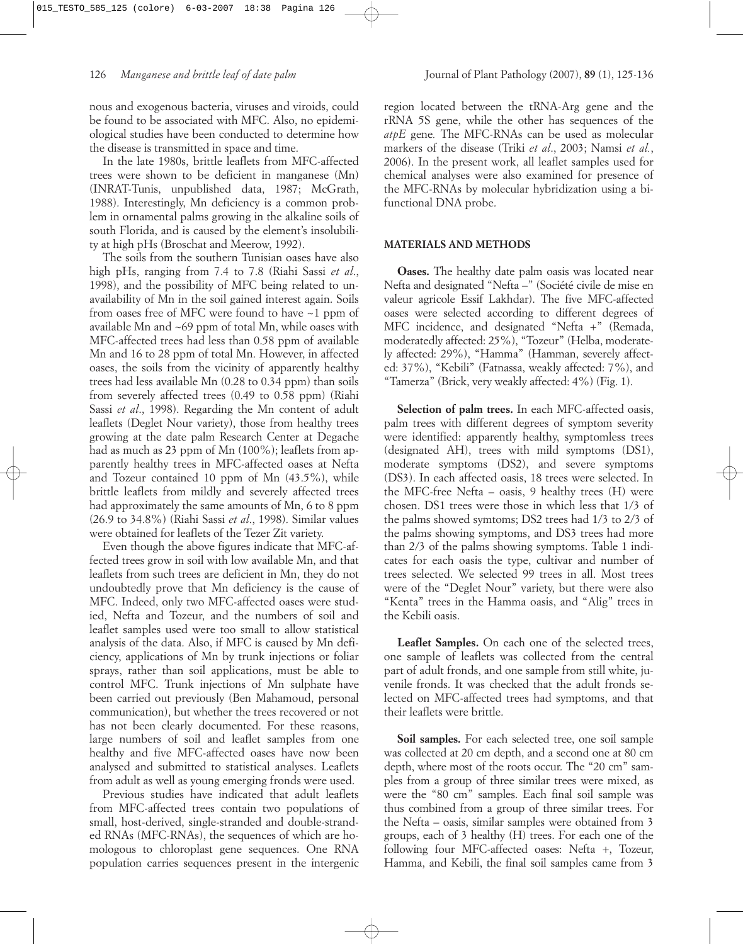nous and exogenous bacteria, viruses and viroids, could be found to be associated with MFC. Also, no epidemiological studies have been conducted to determine how the disease is transmitted in space and time.

In the late 1980s, brittle leaflets from MFC-affected trees were shown to be deficient in manganese (Mn) (INRAT-Tunis, unpublished data, 1987; McGrath, 1988). Interestingly, Mn deficiency is a common problem in ornamental palms growing in the alkaline soils of south Florida, and is caused by the element's insolubility at high pHs (Broschat and Meerow, 1992).

The soils from the southern Tunisian oases have also high pHs, ranging from 7.4 to 7.8 (Riahi Sassi *et al*., 1998), and the possibility of MFC being related to unavailability of Mn in the soil gained interest again. Soils from oases free of MFC were found to have ~1 ppm of available Mn and ~69 ppm of total Mn, while oases with MFC-affected trees had less than 0.58 ppm of available Mn and 16 to 28 ppm of total Mn. However, in affected oases, the soils from the vicinity of apparently healthy trees had less available Mn (0.28 to 0.34 ppm) than soils from severely affected trees (0.49 to 0.58 ppm) (Riahi Sassi *et al*., 1998). Regarding the Mn content of adult leaflets (Deglet Nour variety), those from healthy trees growing at the date palm Research Center at Degache had as much as 23 ppm of Mn (100%); leaflets from apparently healthy trees in MFC-affected oases at Nefta and Tozeur contained 10 ppm of Mn (43.5%), while brittle leaflets from mildly and severely affected trees had approximately the same amounts of Mn, 6 to 8 ppm (26.9 to 34.8%) (Riahi Sassi *et al*., 1998). Similar values were obtained for leaflets of the Tezer Zit variety.

Even though the above figures indicate that MFC-affected trees grow in soil with low available Mn, and that leaflets from such trees are deficient in Mn, they do not undoubtedly prove that Mn deficiency is the cause of MFC. Indeed, only two MFC-affected oases were studied, Nefta and Tozeur, and the numbers of soil and leaflet samples used were too small to allow statistical analysis of the data. Also, if MFC is caused by Mn deficiency, applications of Mn by trunk injections or foliar sprays, rather than soil applications, must be able to control MFC. Trunk injections of Mn sulphate have been carried out previously (Ben Mahamoud, personal communication), but whether the trees recovered or not has not been clearly documented. For these reasons, large numbers of soil and leaflet samples from one healthy and five MFC-affected oases have now been analysed and submitted to statistical analyses. Leaflets from adult as well as young emerging fronds were used.

Previous studies have indicated that adult leaflets from MFC-affected trees contain two populations of small, host-derived, single-stranded and double-stranded RNAs (MFC-RNAs), the sequences of which are homologous to chloroplast gene sequences. One RNA population carries sequences present in the intergenic region located between the tRNA-Arg gene and the rRNA 5S gene, while the other has sequences of the *atpE* gene*.* The MFC-RNAs can be used as molecular markers of the disease (Triki *et al*., 2003; Namsi *et al.*, 2006). In the present work, all leaflet samples used for chemical analyses were also examined for presence of the MFC-RNAs by molecular hybridization using a bifunctional DNA probe.

# **MATERIALS AND METHODS**

**Oases.** The healthy date palm oasis was located near Nefta and designated "Nefta –" (Société civile de mise en valeur agricole Essif Lakhdar). The five MFC-affected oases were selected according to different degrees of MFC incidence, and designated "Nefta +" (Remada, moderatedly affected: 25%), "Tozeur" (Helba, moderately affected: 29%), "Hamma" (Hamman, severely affected: 37%), "Kebili" (Fatnassa, weakly affected: 7%), and "Tamerza" (Brick, very weakly affected: 4%) (Fig. 1).

**Selection of palm trees.** In each MFC-affected oasis, palm trees with different degrees of symptom severity were identified: apparently healthy, symptomless trees (designated AH), trees with mild symptoms (DS1), moderate symptoms (DS2), and severe symptoms (DS3). In each affected oasis, 18 trees were selected. In the MFC-free Nefta – oasis, 9 healthy trees (H) were chosen. DS1 trees were those in which less that 1/3 of the palms showed symtoms; DS2 trees had 1/3 to 2/3 of the palms showing symptoms, and DS3 trees had more than 2/3 of the palms showing symptoms. Table 1 indicates for each oasis the type, cultivar and number of trees selected. We selected 99 trees in all. Most trees were of the "Deglet Nour" variety, but there were also "Kenta" trees in the Hamma oasis, and "Alig" trees in the Kebili oasis.

**Leaflet Samples.** On each one of the selected trees, one sample of leaflets was collected from the central part of adult fronds, and one sample from still white, juvenile fronds. It was checked that the adult fronds selected on MFC-affected trees had symptoms, and that their leaflets were brittle.

**Soil samples.** For each selected tree, one soil sample was collected at 20 cm depth, and a second one at 80 cm depth, where most of the roots occur. The "20 cm" samples from a group of three similar trees were mixed, as were the "80 cm" samples. Each final soil sample was thus combined from a group of three similar trees. For the Nefta – oasis, similar samples were obtained from 3 groups, each of 3 healthy (H) trees. For each one of the following four MFC-affected oases: Nefta +, Tozeur, Hamma, and Kebili, the final soil samples came from 3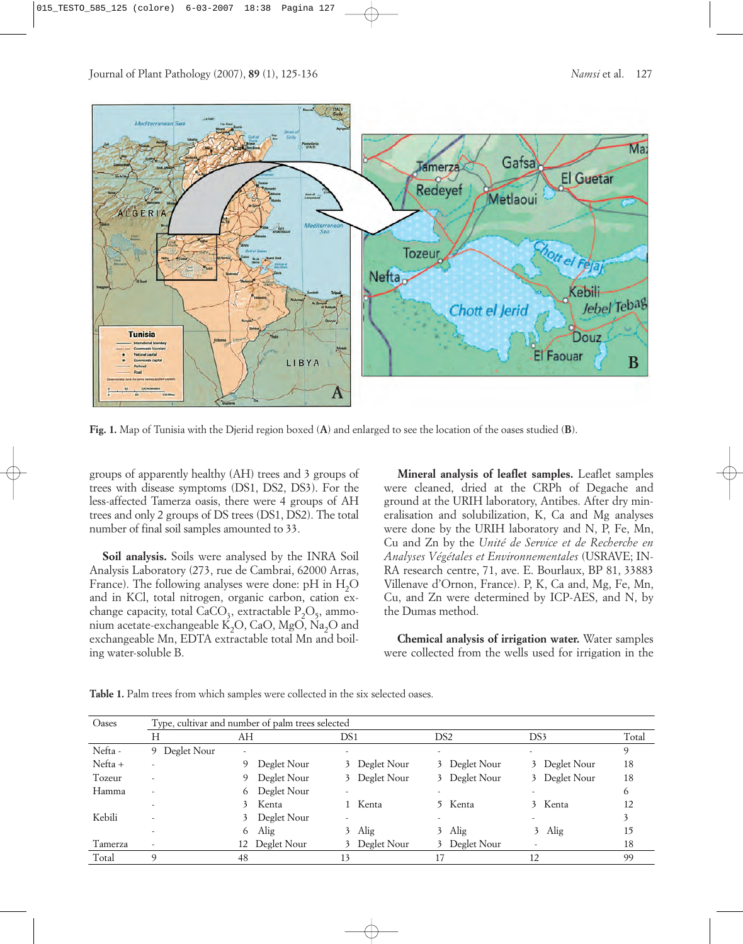

**Fig. 1.** Map of Tunisia with the Djerid region boxed (**A**) and enlarged to see the location of the oases studied (**B**).

groups of apparently healthy (AH) trees and 3 groups of trees with disease symptoms (DS1, DS2, DS3). For the less-affected Tamerza oasis, there were 4 groups of AH trees and only 2 groups of DS trees (DS1, DS2). The total number of final soil samples amounted to 33.

**Soil analysis.** Soils were analysed by the INRA Soil Analysis Laboratory (273, rue de Cambrai, 62000 Arras, France). The following analyses were done:  $pH$  in  $H<sub>2</sub>O$ and in KCl, total nitrogen, organic carbon, cation exchange capacity, total CaCO<sub>3</sub>, extractable  $P_2O_5$ , ammonium acetate-exchangeable  $\dot{K}_2O$ , CaO, MgO, Na<sub>2</sub>O and exchangeable Mn, EDTA extractable total Mn and boiling water-soluble B.

**Mineral analysis of leaflet samples.** Leaflet samples were cleaned, dried at the CRPh of Degache and ground at the URIH laboratory, Antibes. After dry mineralisation and solubilization, K, Ca and Mg analyses were done by the URIH laboratory and N, P, Fe, Mn, Cu and Zn by the *Unité de Service et de Recherche en Analyses Végétales et Environnementales* (USRAVE; IN-RA research centre, 71, ave. E. Bourlaux, BP 81, 33883 Villenave d'Ornon, France). P, K, Ca and, Mg, Fe, Mn, Cu, and Zn were determined by ICP-AES, and N, by the Dumas method.

**Chemical analysis of irrigation water.** Water samples were collected from the wells used for irrigation in the

|  |  |  |  |  |  |  | Table 1. Palm trees from which samples were collected in the six selected oases. |  |  |  |  |
|--|--|--|--|--|--|--|----------------------------------------------------------------------------------|--|--|--|--|
|--|--|--|--|--|--|--|----------------------------------------------------------------------------------|--|--|--|--|

| Oases     | Type, cultivar and number of palm trees selected |        |               |                 |               |                 |               |     |               |       |
|-----------|--------------------------------------------------|--------|---------------|-----------------|---------------|-----------------|---------------|-----|---------------|-------|
|           | Η                                                | AН     |               | DS <sub>1</sub> |               | D <sub>S2</sub> |               | DS3 |               | Total |
| Nefta -   | 9 Deglet Nour                                    | $\sim$ |               |                 |               |                 |               |     |               | Q.    |
| $Nefta +$ | ٠                                                | 9.     | Deglet Nour   |                 | 3 Deglet Nour |                 | 3 Deglet Nour |     | 3 Deglet Nour | 18    |
| Tozeur    | ۰                                                |        | 9 Deglet Nour |                 | Deglet Nour   |                 | 3 Deglet Nour |     | 3 Deglet Nour | 18    |
| Hamma     | ٠                                                |        | 6 Deglet Nour |                 |               |                 |               |     |               | რ.    |
|           |                                                  |        | Kenta         |                 | Kenta         |                 | 5 Kenta       |     | 3 Kenta       | 12    |
| Kebili    | ٠                                                |        | 3 Deglet Nour |                 |               |                 |               |     |               |       |
|           |                                                  |        | 6 Alig        |                 | Alig          |                 | 3 Alig        | 3   | Alig          | 15    |
| Tamerza   | ٠                                                | 12     | Deglet Nour   |                 | Deglet Nour   |                 | 3 Deglet Nour |     |               | 18    |
| Total     | 9                                                | 48     |               | 13              |               | 17              |               | 12  |               | 99    |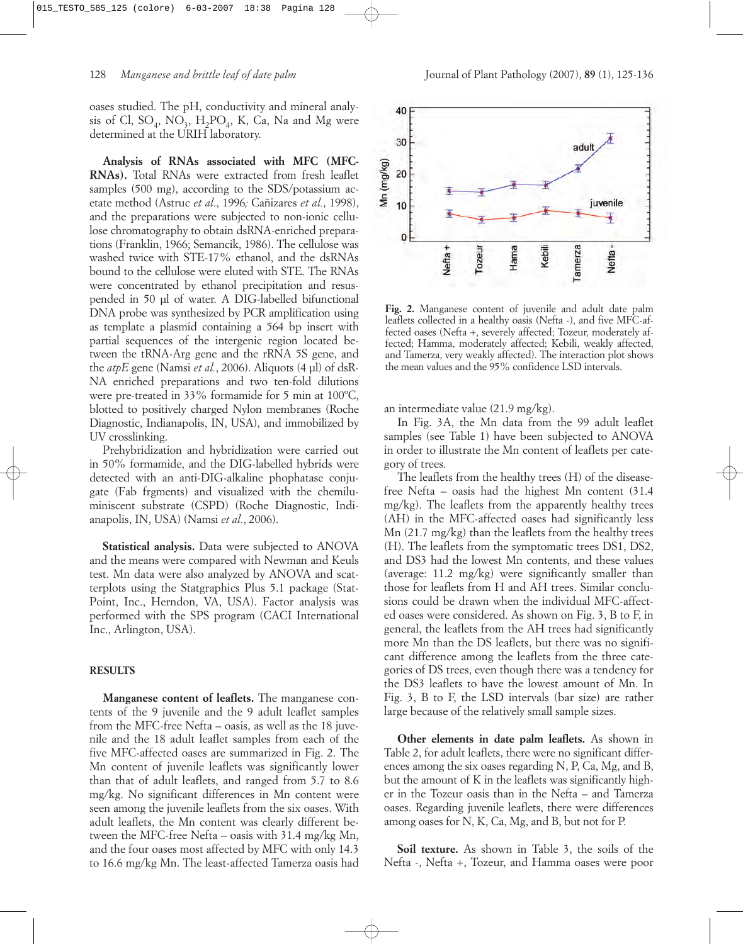oases studied. The pH, conductivity and mineral analysis of Cl,  $SO_4$ ,  $NO_3$ ,  $H_2PO_4$ , K, Ca, Na and Mg were determined at the URIH laboratory.

**Analysis of RNAs associated with MFC (MFC-RNAs).** Total RNAs were extracted from fresh leaflet samples (500 mg), according to the SDS/potassium acetate method (Astruc *et al*., 1996*;* Cañizares *et al.*, 1998), and the preparations were subjected to non-ionic cellulose chromatography to obtain dsRNA-enriched preparations (Franklin, 1966; Semancik, 1986). The cellulose was washed twice with STE-17% ethanol, and the dsRNAs bound to the cellulose were eluted with STE. The RNAs were concentrated by ethanol precipitation and resuspended in 50 µl of water. A DIG-labelled bifunctional DNA probe was synthesized by PCR amplification using as template a plasmid containing a 564 bp insert with partial sequences of the intergenic region located between the tRNA-Arg gene and the rRNA 5S gene, and the *atpE* gene (Namsi *et al.*, 2006). Aliquots (4 µl) of dsR-NA enriched preparations and two ten-fold dilutions were pre-treated in 33% formamide for 5 min at 100ºC, blotted to positively charged Nylon membranes (Roche Diagnostic, Indianapolis, IN, USA), and immobilized by UV crosslinking.

Prehybridization and hybridization were carried out in 50% formamide, and the DIG-labelled hybrids were detected with an anti-DIG-alkaline phophatase conjugate (Fab frgments) and visualized with the chemiluminiscent substrate (CSPD) (Roche Diagnostic, Indianapolis, IN, USA) (Namsi *et al.*, 2006).

**Statistical analysis.** Data were subjected to ANOVA and the means were compared with Newman and Keuls test. Mn data were also analyzed by ANOVA and scatterplots using the Statgraphics Plus 5.1 package (Stat-Point, Inc., Herndon, VA, USA). Factor analysis was performed with the SPS program (CACI International Inc., Arlington, USA).

#### **RESULTS**

**Manganese content of leaflets.** The manganese contents of the 9 juvenile and the 9 adult leaflet samples from the MFC-free Nefta – oasis, as well as the 18 juvenile and the 18 adult leaflet samples from each of the five MFC-affected oases are summarized in Fig. 2. The Mn content of juvenile leaflets was significantly lower than that of adult leaflets, and ranged from 5.7 to 8.6 mg/kg. No significant differences in Mn content were seen among the juvenile leaflets from the six oases. With adult leaflets, the Mn content was clearly different between the MFC-free Nefta – oasis with 31.4 mg/kg Mn, and the four oases most affected by MFC with only 14.3 to 16.6 mg/kg Mn. The least-affected Tamerza oasis had



**Fig. 2.** Manganese content of juvenile and adult date palm leaflets collected in a healthy oasis (Nefta -), and five MFC-affected oases (Nefta +, severely affected; Tozeur, moderately affected; Hamma, moderately affected; Kebili, weakly affected, and Tamerza, very weakly affected). The interaction plot shows the mean values and the 95% confidence LSD intervals.

an intermediate value (21.9 mg/kg).

In Fig. 3A, the Mn data from the 99 adult leaflet samples (see Table 1) have been subjected to ANOVA in order to illustrate the Mn content of leaflets per category of trees.

The leaflets from the healthy trees (H) of the diseasefree Nefta – oasis had the highest Mn content (31.4 mg/kg). The leaflets from the apparently healthy trees (AH) in the MFC-affected oases had significantly less Mn (21.7 mg/kg) than the leaflets from the healthy trees (H). The leaflets from the symptomatic trees DS1, DS2, and DS3 had the lowest Mn contents, and these values (average: 11.2 mg/kg) were significantly smaller than those for leaflets from H and AH trees. Similar conclusions could be drawn when the individual MFC-affected oases were considered. As shown on Fig. 3, B to F, in general, the leaflets from the AH trees had significantly more Mn than the DS leaflets, but there was no significant difference among the leaflets from the three categories of DS trees, even though there was a tendency for the DS3 leaflets to have the lowest amount of Mn. In Fig. 3, B to F, the LSD intervals (bar size) are rather large because of the relatively small sample sizes.

**Other elements in date palm leaflets.** As shown in Table 2, for adult leaflets, there were no significant differences among the six oases regarding N, P, Ca, Mg, and B, but the amount of K in the leaflets was significantly higher in the Tozeur oasis than in the Nefta – and Tamerza oases. Regarding juvenile leaflets, there were differences among oases for N, K, Ca, Mg, and B, but not for P.

**Soil texture.** As shown in Table 3, the soils of the Nefta -, Nefta +, Tozeur, and Hamma oases were poor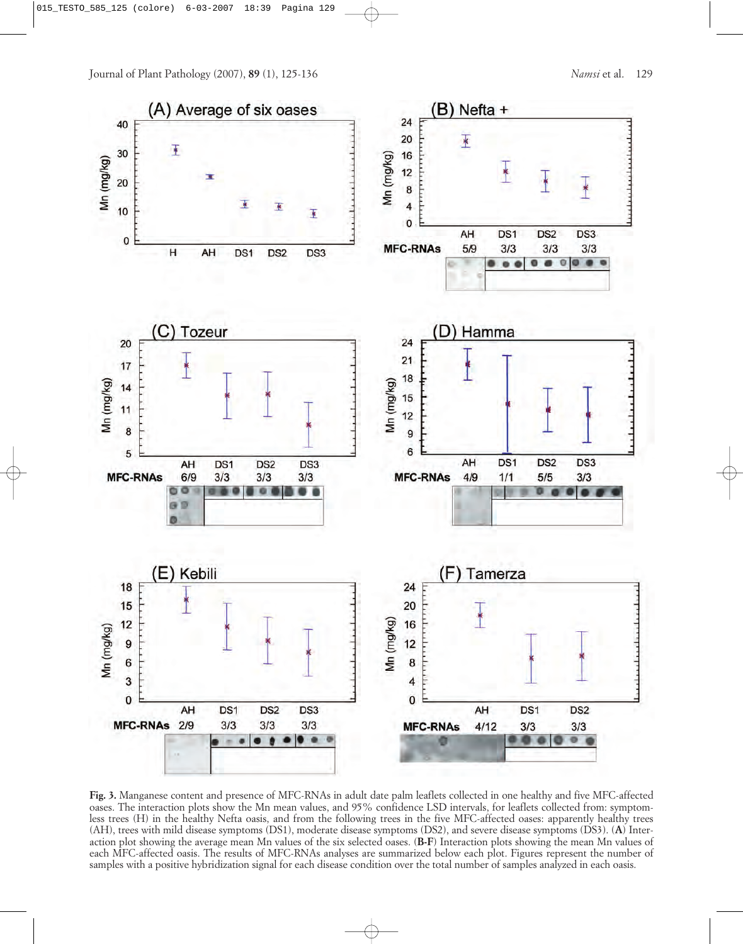

**Fig. 3.** Manganese content and presence of MFC-RNAs in adult date palm leaflets collected in one healthy and five MFC-affected oases. The interaction plots show the Mn mean values, and 95% confidence LSD intervals, for leaflets collected from: symptomless trees (H) in the healthy Nefta oasis, and from the following trees in the five MFC-affected oases: apparently healthy trees (AH), trees with mild disease symptoms (DS1), moderate disease symptoms (DS2), and severe disease symptoms (DS3). (**A**) Interaction plot showing the average mean Mn values of the six selected oases. (**B-F**) Interaction plots showing the mean Mn values of each MFC-affected oasis. The results of MFC-RNAs analyses are summarized below each plot. Figures represent the number of samples with a positive hybridization signal for each disease condition over the total number of samples analyzed in each oasis.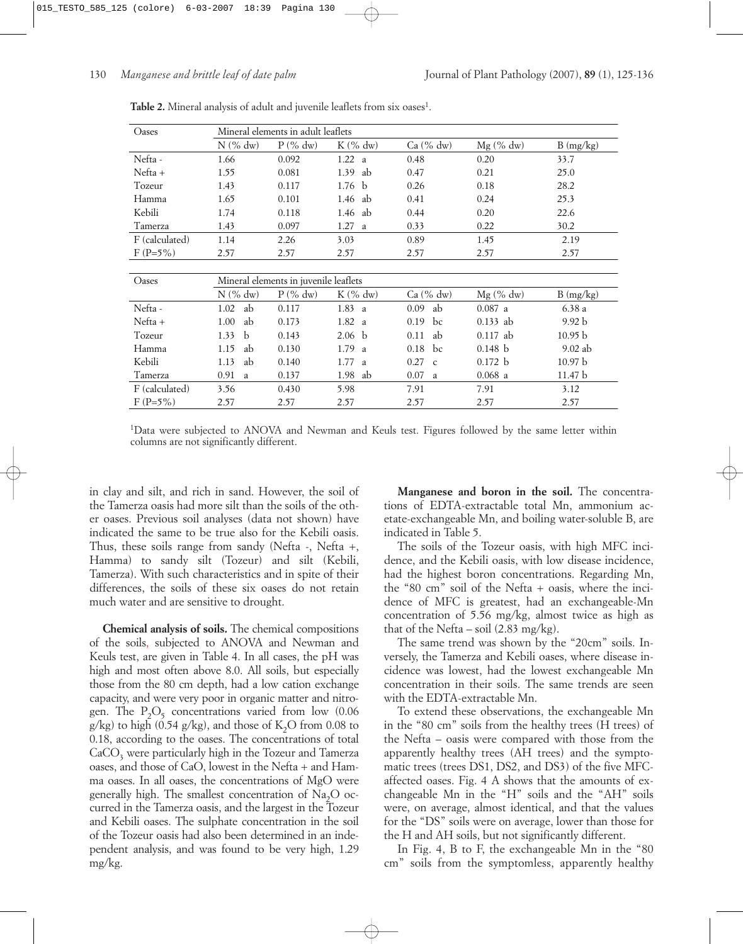| Oases          |            | Mineral elements in adult leaflets    |                      |                      |             |                   |
|----------------|------------|---------------------------------------|----------------------|----------------------|-------------|-------------------|
|                | $N$ (% dw) | $P$ (% dw)                            | $K$ (% dw)           | Ca (% dw)            | $Mg$ (% dw) | B(mg/kg)          |
| Nefta -        | 1.66       | 0.092                                 | 1.22 a               | 0.48                 | 0.20        | 33.7              |
| $Nefta +$      | 1.55       | 0.081                                 | 1.39<br>ab           | 0.47                 | 0.21        | 25.0              |
| Tozeur         | 1.43       | 0.117                                 | 1.76 <sub>b</sub>    | 0.26                 | 0.18        | 28.2              |
| Hamma          | 1.65       | 0.101                                 | 1.46 ab              | 0.41                 | 0.24        | 25.3              |
| Kebili         | 1.74       | 0.118                                 | 1.46<br>ab           | 0.44                 | 0.20        | 22.6              |
| Tamerza        | 1.43       | 0.097                                 | 1.27 a               | 0.33                 | 0.22        | 30.2              |
| F (calculated) | 1.14       | 2.26                                  | 3.03                 | 0.89                 | 1.45        | 2.19              |
| $F(P=5\%)$     | 2.57       | 2.57                                  | 2.57                 | 2.57                 | 2.57        | 2.57              |
|                |            |                                       |                      |                      |             |                   |
|                |            |                                       |                      |                      |             |                   |
| Oases          |            | Mineral elements in juvenile leaflets |                      |                      |             |                   |
|                | $N$ (% dw) | $P$ (% dw)                            | $K$ (% dw)           | Ca (% dw)            | $Mg$ (% dw) | B(mg/kg)          |
| Nefta -        | 1.02<br>ab | 0.117                                 | 1.83 a               | 0.09<br>ab           | $0.087$ a   | 6.38a             |
| $Nefta +$      | 1.00<br>ab | 0.173                                 | 1.82 a               | 0.19<br>bc           | $0.133$ ab  | 9.92 <sub>b</sub> |
| Tozeur         | 1.33<br>b  | 0.143                                 | 2.06 <sub>b</sub>    | 0.11<br>ab           | $0.117$ ab  | 10.95 b           |
| Hamma          | ab<br>1.15 | 0.130                                 | 1.79<br><sub>a</sub> | 0.18<br>bc           | 0.148 b     | 9.02 ab           |
| Kebili         | 1.13<br>ab | 0.140                                 | 1.77a                | 0.27<br>$\mathbf{C}$ | 0.172 b     | 10.97 b           |
| Tamerza        | 0.91<br>a  | 0.137                                 | 1.98 ab              | 0.07<br>a            | $0.068$ a   | 11.47 b           |
| F (calculated) | 3.56       | 0.430                                 | 5.98                 | 7.91                 | 7.91        | 3.12              |

Table 2. Mineral analysis of adult and juvenile leaflets from six oases<sup>1</sup>.

1Data were subjected to ANOVA and Newman and Keuls test. Figures followed by the same letter within columns are not significantly different.

in clay and silt, and rich in sand. However, the soil of the Tamerza oasis had more silt than the soils of the other oases. Previous soil analyses (data not shown) have indicated the same to be true also for the Kebili oasis. Thus, these soils range from sandy (Nefta -, Nefta +, Hamma) to sandy silt (Tozeur) and silt (Kebili, Tamerza). With such characteristics and in spite of their differences, the soils of these six oases do not retain much water and are sensitive to drought.

**Chemical analysis of soils.** The chemical compositions of the soils, subjected to ANOVA and Newman and Keuls test, are given in Table 4. In all cases, the pH was high and most often above 8.0. All soils, but especially those from the 80 cm depth, had a low cation exchange capacity, and were very poor in organic matter and nitrogen. The  $P_2O_5$  concentrations varied from low (0.06)  $g/kg$ ) to high (0.54  $g/kg$ ), and those of K<sub>2</sub>O from 0.08 to 0.18, according to the oases. The concentrations of total CaCO<sub>2</sub> were particularly high in the Tozeur and Tamerza oases, and those of CaO, lowest in the Nefta + and Hamma oases. In all oases, the concentrations of MgO were generally high. The smallest concentration of  $Na<sub>2</sub>O$  occurred in the Tamerza oasis, and the largest in the Tozeur and Kebili oases. The sulphate concentration in the soil of the Tozeur oasis had also been determined in an independent analysis, and was found to be very high, 1.29 mg/kg.

**Manganese and boron in the soil.** The concentrations of EDTA-extractable total Mn, ammonium acetate-exchangeable Mn, and boiling water-soluble B, are indicated in Table 5.

The soils of the Tozeur oasis, with high MFC incidence, and the Kebili oasis, with low disease incidence, had the highest boron concentrations. Regarding Mn, the "80 cm" soil of the Nefta + oasis, where the incidence of MFC is greatest, had an exchangeable-Mn concentration of 5.56 mg/kg, almost twice as high as that of the Nefta – soil  $(2.83 \text{ mg/kg})$ .

The same trend was shown by the "20cm" soils. Inversely, the Tamerza and Kebili oases, where disease incidence was lowest, had the lowest exchangeable Mn concentration in their soils. The same trends are seen with the EDTA-extractable Mn.

To extend these observations, the exchangeable Mn in the "80 cm" soils from the healthy trees (H trees) of the Nefta – oasis were compared with those from the apparently healthy trees (AH trees) and the symptomatic trees (trees DS1, DS2, and DS3) of the five MFCaffected oases. Fig. 4 A shows that the amounts of exchangeable Mn in the "H" soils and the "AH" soils were, on average, almost identical, and that the values for the "DS" soils were on average, lower than those for the H and AH soils, but not significantly different.

In Fig. 4, B to F, the exchangeable Mn in the "80 cm" soils from the symptomless, apparently healthy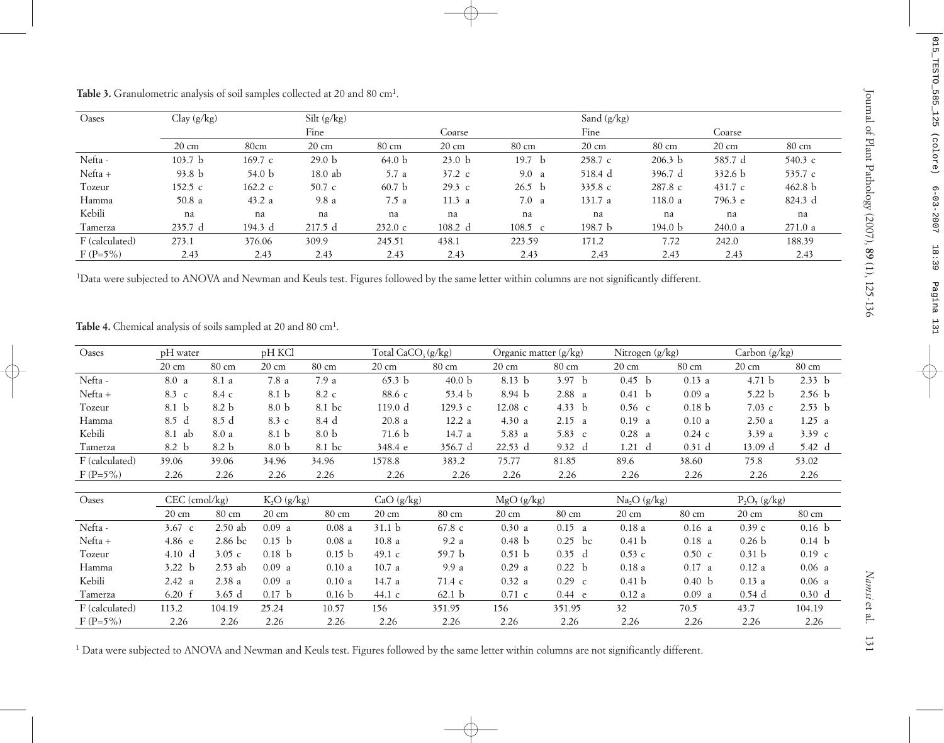| Oases          | Clay(g/kg)         |                   | Silt $(g/kg)$     |                   |                   |                   | Sand $(g/kg)$   |                    |                 |                    |
|----------------|--------------------|-------------------|-------------------|-------------------|-------------------|-------------------|-----------------|--------------------|-----------------|--------------------|
|                |                    |                   | Fine              |                   | Coarse            |                   | Fine            |                    | Coarse          |                    |
|                | $20 \text{ cm}$    | 80cm              | $20 \text{ cm}$   | 80 cm             | $20 \text{ cm}$   | 80 cm             | $20 \text{ cm}$ | 80 cm              | $20 \text{ cm}$ | 80 cm              |
| Nefta -        | 103.7 <sub>b</sub> | 169.7c            | 29.0 <sub>b</sub> | 64.0 b            | 23.0 <sub>b</sub> | 19.7 $b$          | 258.7c          | 206.3 <sub>b</sub> | 585.7 d         | 540.3 c            |
| $Nefta +$      | 93.8 <sub>b</sub>  | 54.0 b            | 18.0 ab           | 5.7 a             | $37.2 \text{ c}$  | 9.0 a             | 518.4 d         | 396.7 d            | 332.6 b         | 535.7 c            |
| Tozeur         | 152.5c             | $162.2 \text{ c}$ | 50.7c             | 60.7 <sub>b</sub> | $29.3 \text{ c}$  | 26.5 <sub>b</sub> | 335.8c          | 287.8 c            | 431.7 c         | 462.8 <sub>b</sub> |
| Hamma          | 50.8a              | 43.2 a            | 9.8a              | 7.5 a             | 11.3a             | 7.0 a             | 131.7a          | 118.0a             | 796.3 e         | 824.3 d            |
| Kebili         | na                 | na                | na                | na                | na                | na                | na              | na                 | na              | na                 |
| Tamerza        | 235.7 <sub>d</sub> | 194.3 d           | 217.5 d           | 232.0c            | 108.2 d           | $108.5 \text{ c}$ | 198.7 b         | 194.0 <sub>b</sub> | 240.0 a         | 271.0a             |
| F (calculated) | 273.1              | 376.06            | 309.9             | 245.51            | 438.1             | 223.59            | 171.2           | 7.72               | 242.0           | 188.39             |
| $F(P=5\%)$     | 2.43               | 2.43              | 2.43              | 2.43              | 2.43              | 2.43              | 2.43            | 2.43               | 2.43            | 2.43               |

| Oases                                                                                                                               | Clay $(g/kg)$   |                |                        | Silt $(g/kg)$      |                                |                    |                       | Sand $(g/kg)$     |                         |                    |                   |                             |
|-------------------------------------------------------------------------------------------------------------------------------------|-----------------|----------------|------------------------|--------------------|--------------------------------|--------------------|-----------------------|-------------------|-------------------------|--------------------|-------------------|-----------------------------|
|                                                                                                                                     |                 |                |                        | Fine               |                                | Coarse             |                       | Fine              |                         |                    | Coarse            |                             |
|                                                                                                                                     | $20 \text{ cm}$ |                | 80cm                   | $20 \text{ cm}$    | 80 cm                          | $20 \text{ cm}$    | $80\ {\rm cm}$        | $20\;{\rm cm}$    |                         | 80 cm              | $20 \text{ cm}$   | $80 \text{ cm}$             |
| Nefta -                                                                                                                             | 103.7 b         |                | 169.7 с                | $29.0\ \mathrm{b}$ | 64.0 <sub>b</sub>              | 23.0 <sub>b</sub>  | 19.7 b                | 258.7 c           |                         | 206.3 b            | 585.7 d           | 540.3 с                     |
| Nefta +                                                                                                                             | 93.8 b          |                | 54.0 b                 | 18.0 ab            | 5.7 a                          | 37.2 c             | $9.0\quad a$          | 518.4 d           |                         | 396.7 d            | 332.6 b           | 535.7 c                     |
| Tozeur                                                                                                                              | 152.5 с         |                | 162.2 с                | 50.7 c             | 60.7 <sub>b</sub>              | 29.3 с             | 26.5 <sub>b</sub>     | 335.8 c           |                         | 287.8 с            | 431.7 c           | 462.8 b                     |
| Hamma                                                                                                                               | 50.8 a          |                | 43.2 a                 | $9.8\,$ a          | 7.5 a                          | 11.3a              | $7.0\phantom{0}$ a    | 131.7 a           |                         | 118.0 a            | 796.3 e           | 824.3 d                     |
| Kebili                                                                                                                              | na              |                | $\rm na$               | $\rm na$           | na                             | na                 | na                    | $\mathrm{na}$     |                         | $\mathrm{na}$      | $\mathrm{na}$     | na                          |
| Tamerza                                                                                                                             | 235.7 d         |                | 194.3 d                | 217.5 d            | 232.0 с                        | 108.2 d            | 108.5 c               | 198.7 b           |                         | 194.0 b            | 240.0 a           | 271.0 a                     |
| F (calculated)                                                                                                                      | 273.1           |                | 376.06                 | 309.9              | 245.51                         | 438.1              | 223.59                | 171.2             |                         | 7.72               | 242.0             | 188.39                      |
| $F(P=5\%)$                                                                                                                          | 2.43            |                | 2.43                   | 2.43               | 2.43                           | 2.43               | 2.43                  | 2.43              |                         | 2.43               | 2.43              | 2.43                        |
| Oases                                                                                                                               | pH water        |                | pH KCl                 |                    | Total CaCO <sub>3</sub> (g/kg) |                    | Organic matter (g/kg) |                   | Nitrogen (g/kg)         |                    | Carbon (g/kg)     |                             |
|                                                                                                                                     | $20 \text{ cm}$ | 80 cm          | $20 \text{ cm}$        | 80 cm              | $20 \text{ cm}$                | 80 cm              | $20 \text{ cm}$       | 80 cm             | $20 \text{ cm}$         | 80 cm              | $20 \text{ cm}$   | 80 cm                       |
| Nefta -                                                                                                                             | 8.0 a           | 8.1 a          | 7.8a                   | 7.9 a              | 65.3 b                         | $40.0\ \mathrm{b}$ | 8.13 b                | 3.97 b            | 0.45 b                  | $0.13\,$ a         | 4.71 b            | 2.33 b                      |
| Nefta +                                                                                                                             | 8.3 с           | 8.4 с          | 8.1 b                  | 8.2 с              | 88.6 с                         | 53.4 b             | 8.94 b                | 2.88 a            | 0.41 <sub>b</sub>       | $0.09\ a$          | 5.22 b            | 2.56 <sub>b</sub>           |
|                                                                                                                                     |                 | 8.2 b          | 8.0 <sub>b</sub>       | 8.1 bc             | 119.0 d                        | 129.3 с            | 12.08 с               | 4.33 b            | $0.56$ c                | $0.18\ \mathrm{b}$ | $7.03$ c          | 2.53 b                      |
|                                                                                                                                     | 8.1 b           |                |                        | 8.4 d              | 20.8a                          | 12.2a              | 4.30 a                | 2.15 a            | 0.19 a                  | $0.10\,$ a         | 2.50a             | 1.25 a                      |
|                                                                                                                                     | 8.5 d           | 8.5 d          | 8.3 с                  |                    |                                |                    |                       |                   |                         |                    |                   |                             |
|                                                                                                                                     | 8.1 ab          | 8.0 a          | 8.1 b                  | 8.0 <sub>b</sub>   | $71.6\,\,\mathrm{b}$           | 14.7 a             | 5.83 a                | 5.83 c            | $0.28$ a                | 0.24c              | 3.39 a            | 3.39 c                      |
| Tozeur<br>Hamma<br>Kebili<br>Tamerza                                                                                                | 8.2 b           | 8.2 b          | 8.0 <sub>b</sub>       | 8.1 bc             | 348.4 e                        | 356.7 d            | 22.53 d               | 9.32 d            | $1.21$ d                | $0.31$ d           | 13.09 d           | 5.42 d                      |
|                                                                                                                                     | 39.06           | 39.06          | 34.96                  | 34.96              | 1578.8                         | 383.2              | 75.77                 | 81.85             | 89.6                    | 38.60              | 75.8              | 53.02                       |
|                                                                                                                                     | 2.26            | 2.26           | 2.26                   | 2.26               | 2.26                           | 2.26               | 2.26                  | 2.26              | 2.26                    | 2.26               | 2.26              | 2.26                        |
|                                                                                                                                     | CEC (cmol/kg)   |                | K <sub>2</sub> O(g/kg) |                    | CaO(g/kg)                      |                    | MgO(g/kg)             |                   | Na <sub>2</sub> O(g/kg) |                    | $P_2O_5(g/kg)$    |                             |
|                                                                                                                                     | $20 \text{ cm}$ | 80 cm          | $20 \text{ cm}$        | 80 cm              | $20 \text{ cm}$                | 80 cm              | $20 \text{ cm}$       | 80 cm             | 20 cm                   | 80 cm              | $20 \text{ cm}$   | 80 cm                       |
|                                                                                                                                     | $3.67$ c        | 2.50 ab        | $0.09\;$ a             | 0.08a              | 31.1 b                         | $67.8\,$ c         | 0.30a                 | $0.15\quad a$     | 0.18a                   | $0.16$ a           | 0.39c             | 0.16 <sub>b</sub>           |
|                                                                                                                                     | 4.86 e          | 2.86 bc        | 0.15 <sub>b</sub>      | 0.08a              | 10.8a                          | 9.2 a              | 0.48 <sub>b</sub>     | 0.25 bc           | 0.41 <sub>b</sub>       | $0.18$ a           | 0.26 <sub>b</sub> | $0.14\text{ }b$             |
|                                                                                                                                     | 4.10 d          | 3.05c          | 0.18 <sub>b</sub>      | 0.15 <sub>b</sub>  | 49.1 с                         | 59.7 b             | 0.51 <sub>b</sub>     | $0.35$ d          | 0.53c                   | $0.50\ c$          | 0.31 <sub>b</sub> | $0.19$ c                    |
|                                                                                                                                     | 3.22 b          | 2.53 ab        | $0.09$ a               | 0.10a              | $10.7\,$ a                     | 9.9 a              | $0.29$ a              | 0.22 <sub>b</sub> | 0.18a                   | $0.17\;$ a         | 0.12a             | 0.06 a                      |
|                                                                                                                                     | 2.42 a          | 2.38 a         | $0.09$ a               | 0.10a              | 14.7 a                         | 71.4 с             | 0.32a                 | $0.29$ c          | 0.41 <sub>b</sub>       | 0.40 <sub>b</sub>  | 0.13a             | 0.06 a                      |
|                                                                                                                                     | 6.20 f          | 3.65 d         | 0.17 <sub>b</sub>      | 0.16 <sub>b</sub>  | 44.1 c                         | 62.1 <sub>b</sub>  | $0.71$ c              | 0.44 e            | 0.12a                   | $0.09$ a           | $0.54$ d          |                             |
| F (calculated)<br>$F(P=5\%)$<br>Oases<br>Nefta -<br>Nefta +<br>Tozeur<br>Hamma<br>Kebili<br>Tamerza<br>F (calculated)<br>$F(P=5\%)$ | 113.2<br>2.26   | 104.19<br>2.26 | 25.24<br>2.26          | 10.57<br>2.26      | 156<br>2.26                    | 351.95<br>2.26     | 156<br>2.26           | 351.95<br>2.26    | 32<br>2.26              | 70.5<br>2.26       | 43.7<br>2.26      | $0.30\ d$<br>104.19<br>2.26 |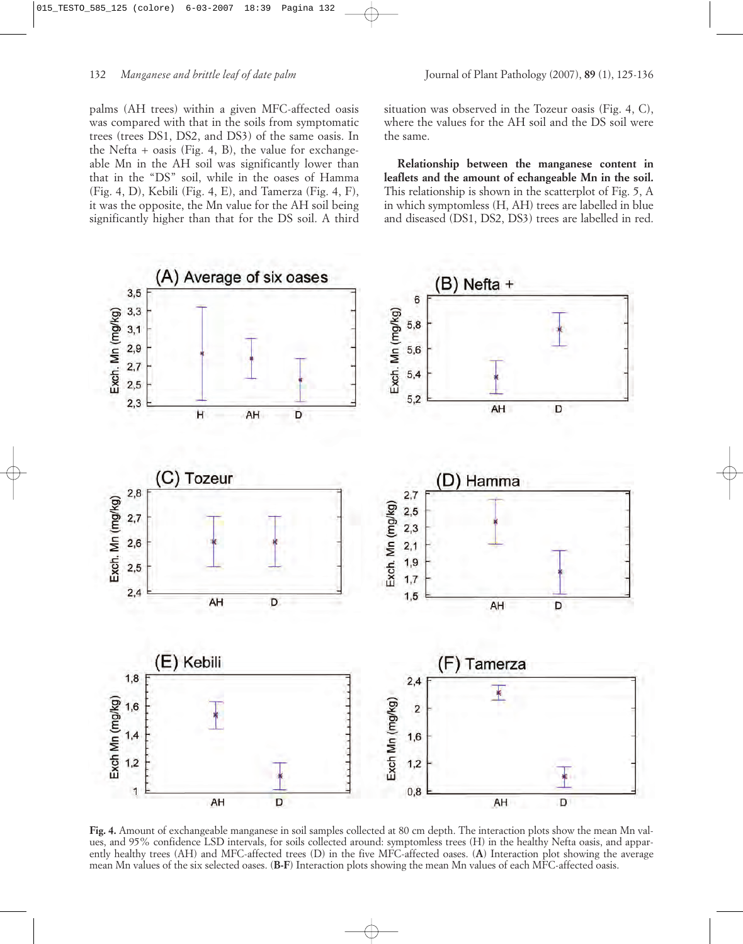palms (AH trees) within a given MFC-affected oasis was compared with that in the soils from symptomatic trees (trees DS1, DS2, and DS3) of the same oasis. In the Nefta  $+$  oasis (Fig. 4, B), the value for exchangeable Mn in the AH soil was significantly lower than that in the "DS" soil, while in the oases of Hamma (Fig. 4, D), Kebili (Fig. 4, E), and Tamerza (Fig. 4, F), it was the opposite, the Mn value for the AH soil being significantly higher than that for the DS soil. A third

situation was observed in the Tozeur oasis (Fig. 4, C), where the values for the AH soil and the DS soil were the same.

**Relationship between the manganese content in leaflets and the amount of echangeable Mn in the soil.** This relationship is shown in the scatterplot of Fig. 5, A in which symptomless (H, AH) trees are labelled in blue and diseased (DS1, DS2, DS3) trees are labelled in red.



**Fig. 4.** Amount of exchangeable manganese in soil samples collected at 80 cm depth. The interaction plots show the mean Mn values, and 95% confidence LSD intervals, for soils collected around: symptomless trees (H) in the healthy Nefta oasis, and apparently healthy trees (AH) and MFC-affected trees (D) in the five MFC-affected oases. (**A**) Interaction plot showing the average mean Mn values of the six selected oases. (**B-F**) Interaction plots showing the mean Mn values of each MFC-affected oasis.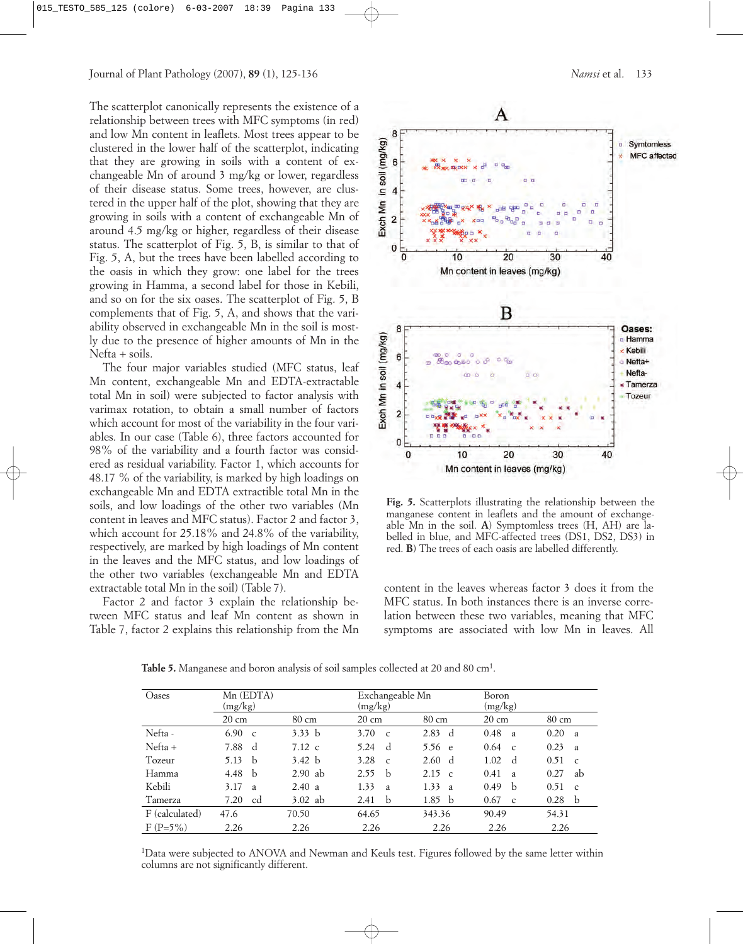The scatterplot canonically represents the existence of a relationship between trees with MFC symptoms (in red) and low Mn content in leaflets. Most trees appear to be clustered in the lower half of the scatterplot, indicating that they are growing in soils with a content of exchangeable Mn of around 3 mg/kg or lower, regardless of their disease status. Some trees, however, are clustered in the upper half of the plot, showing that they are growing in soils with a content of exchangeable Mn of around 4.5 mg/kg or higher, regardless of their disease status. The scatterplot of Fig. 5, B, is similar to that of Fig. 5, A, but the trees have been labelled according to the oasis in which they grow: one label for the trees growing in Hamma, a second label for those in Kebili, and so on for the six oases. The scatterplot of Fig. 5, B complements that of Fig. 5, A, and shows that the variability observed in exchangeable Mn in the soil is mostly due to the presence of higher amounts of Mn in the Nefta + soils.

The four major variables studied (MFC status, leaf Mn content, exchangeable Mn and EDTA-extractable total Mn in soil) were subjected to factor analysis with varimax rotation, to obtain a small number of factors which account for most of the variability in the four variables. In our case (Table 6), three factors accounted for 98% of the variability and a fourth factor was considered as residual variability. Factor 1, which accounts for 48.17 % of the variability, is marked by high loadings on exchangeable Mn and EDTA extractible total Mn in the soils, and low loadings of the other two variables (Mn content in leaves and MFC status). Factor 2 and factor 3, which account for 25.18% and 24.8% of the variability, respectively, are marked by high loadings of Mn content in the leaves and the MFC status, and low loadings of the other two variables (exchangeable Mn and EDTA extractable total Mn in the soil) (Table 7).

Factor 2 and factor 3 explain the relationship between MFC status and leaf Mn content as shown in Table 7, factor 2 explains this relationship from the Mn



**Fig. 5.** Scatterplots illustrating the relationship between the manganese content in leaflets and the amount of exchangeable Mn in the soil. **A**) Symptomless trees (H, AH) are labelled in blue, and MFC-affected trees (DS1, DS2, DS3) in red. **B**) The trees of each oasis are labelled differently.

content in the leaves whereas factor 3 does it from the MFC status. In both instances there is an inverse correlation between these two variables, meaning that MFC symptoms are associated with low Mn in leaves. All

| Oases          | Mn (EDTA)<br>(mg/kg) |                  | Exchangeable $\overline{\mathrm{Mn}}$<br>(mg/kg) |           | Boron<br>(mg/kg)      |                       |
|----------------|----------------------|------------------|--------------------------------------------------|-----------|-----------------------|-----------------------|
|                | $20 \text{ cm}$      | 80 cm            | $20 \text{ cm}$                                  | 80 cm     | $20 \text{ cm}$       | 80 cm                 |
| Nefta -        | 6.90 $\,$ c          | 3.33 b           | 3.70 $\,$ c                                      | 2.83 d    | 0.48<br><sub>a</sub>  | 0.20<br><sub>a</sub>  |
| $Nefta +$      | 7.88<br>d            | $7.12 \text{ c}$ | - d<br>5.24                                      | 5.56 e    | 0.64<br>$\mathcal{C}$ | 0.23<br><sub>a</sub>  |
| Tozeur         | - b<br>5.13          | 3.42 b           | 3.28<br>$\mathcal{C}$                            | 2.60 d    | 1.02<br>d             | 0.51<br>$\mathcal{C}$ |
| Hamma          | 4.48 $\,$ b          | $2.90$ ab        | 2.55<br>- b                                      | $2.15$ c  | 0.41<br><sub>a</sub>  | 0.27<br>ab            |
| Kebili         | 3.17<br>a            | 2.40 a           | 1.33<br><sub>a</sub>                             | 1.33 a    | 0.49<br>b             | 0.51<br>$\mathcal{C}$ |
| Tamerza        | 7.20<br>cd           | $3.02$ ab        | 2.41<br>b                                        | b<br>1.85 | 0.67<br>$\mathbf{C}$  | 0.28<br>b             |
| F (calculated) | 47.6                 | 70.50            | 64.65                                            | 343.36    | 90.49                 | 54.31                 |
| $F(P=5\%)$     | 2.26                 | 2.26             | 2.26                                             | 2.26      | 2.26                  | 2.26                  |

**Table 5.** Manganese and boron analysis of soil samples collected at 20 and 80 cm<sup>1</sup>.

1Data were subjected to ANOVA and Newman and Keuls test. Figures followed by the same letter within columns are not significantly different.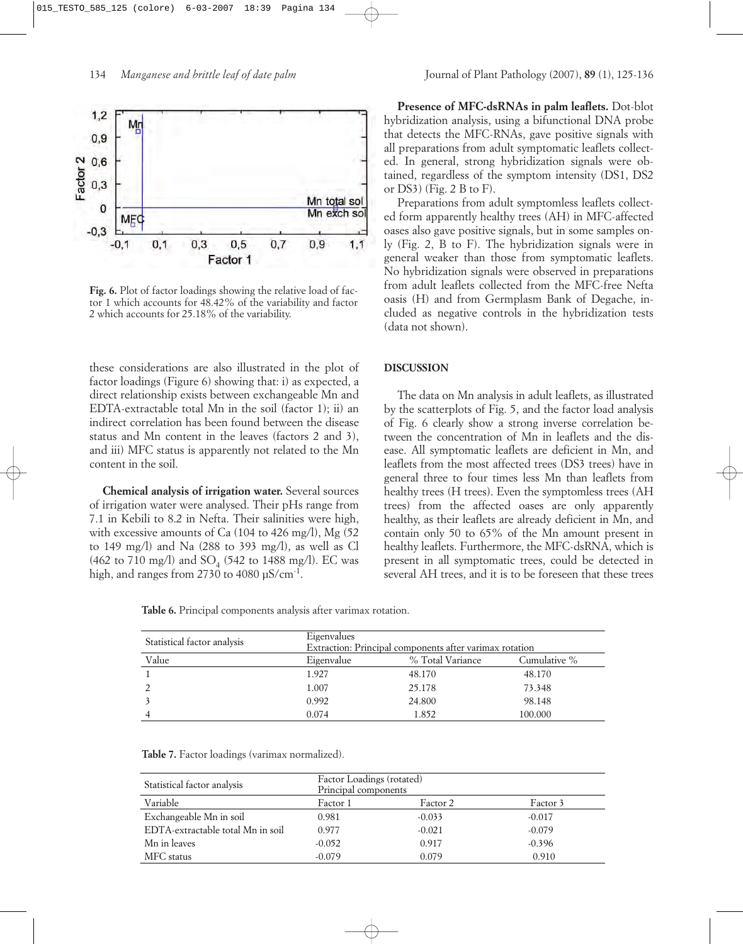

**Fig. 6.** Plot of factor loadings showing the relative load of factor 1 which accounts for 48.42% of the variability and factor 2 which accounts for 25.18% of the variability.

these considerations are also illustrated in the plot of factor loadings (Figure 6) showing that: i) as expected, a direct relationship exists between exchangeable Mn and EDTA-extractable total Mn in the soil (factor 1); ii) an indirect correlation has been found between the disease status and Mn content in the leaves (factors 2 and 3), and iii) MFC status is apparently not related to the Mn content in the soil.

**Chemical analysis of irrigation water.** Several sources of irrigation water were analysed. Their pHs range from 7.1 in Kebili to 8.2 in Nefta. Their salinities were high, with excessive amounts of Ca (104 to 426 mg/l), Mg (52) to 149 mg/l) and Na (288 to 393 mg/l), as well as Cl (462 to 710 mg/l) and  $SO_4$  (542 to 1488 mg/l). EC was high, and ranges from  $2730$  to  $4080 \text{ µS/cm}^{-1}$ .

**Presence of MFC-dsRNAs in palm leaflets.** Dot-blot hybridization analysis, using a bifunctional DNA probe that detects the MFC-RNAs, gave positive signals with all preparations from adult symptomatic leaflets collected. In general, strong hybridization signals were obtained, regardless of the symptom intensity (DS1, DS2 or  $DS3$ ) (Fig. 2 B to F).

Preparations from adult symptomless leaflets collected form apparently healthy trees (AH) in MFC-affected oases also gave positive signals, but in some samples only (Fig. 2, B to F). The hybridization signals were in general weaker than those from symptomatic leaflets. No hybridization signals were observed in preparations from adult leaflets collected from the MFC-free Nefta oasis (H) and from Germplasm Bank of Degache, included as negative controls in the hybridization tests (data not shown).

## **DISCUSSION**

The data on Mn analysis in adult leaflets, as illustrated by the scatterplots of Fig. 5, and the factor load analysis of Fig. 6 clearly show a strong inverse correlation between the concentration of Mn in leaflets and the disease. All symptomatic leaflets are deficient in Mn, and leaflets from the most affected trees (DS3 trees) have in general three to four times less Mn than leaflets from healthy trees (H trees). Even the symptomless trees (AH trees) from the affected oases are only apparently healthy, as their leaflets are already deficient in Mn, and contain only 50 to 65% of the Mn amount present in healthy leaflets. Furthermore, the MFC-dsRNA, which is present in all symptomatic trees, could be detected in several AH trees, and it is to be foreseen that these trees

**Table 6.** Principal components analysis after varimax rotation.

| Statistical factor analysis | Eigenvalues | Extraction: Principal components after varimax rotation |              |
|-----------------------------|-------------|---------------------------------------------------------|--------------|
| Value                       | Eigenvalue  | % Total Variance                                        | Cumulative % |
|                             | 1.927       | 48.170                                                  | 48.170       |
| $\mathcal{L}$               | 1.007       | 25.178                                                  | 73.348       |
|                             | 0.992       | 24.800                                                  | 98.148       |
| $\overline{4}$              | 0.074       | 1.852                                                   | 100.000      |

**Table 7.** Factor loadings (varimax normalized).

| Statistical factor analysis       | Factor Loadings (rotated)<br>Principal components |          |          |  |  |  |
|-----------------------------------|---------------------------------------------------|----------|----------|--|--|--|
| Variable                          | Factor 1                                          | Factor 2 | Factor 3 |  |  |  |
| Exchangeable Mn in soil           | 0.981                                             | $-0.033$ | $-0.017$ |  |  |  |
| EDTA-extractable total Mn in soil | 0.977                                             | $-0.021$ | $-0.079$ |  |  |  |
| Mn in leaves                      | $-0.052$                                          | 0.917    | $-0.396$ |  |  |  |
| MFC status                        | $-0.079$                                          | 0.079    | 0.910    |  |  |  |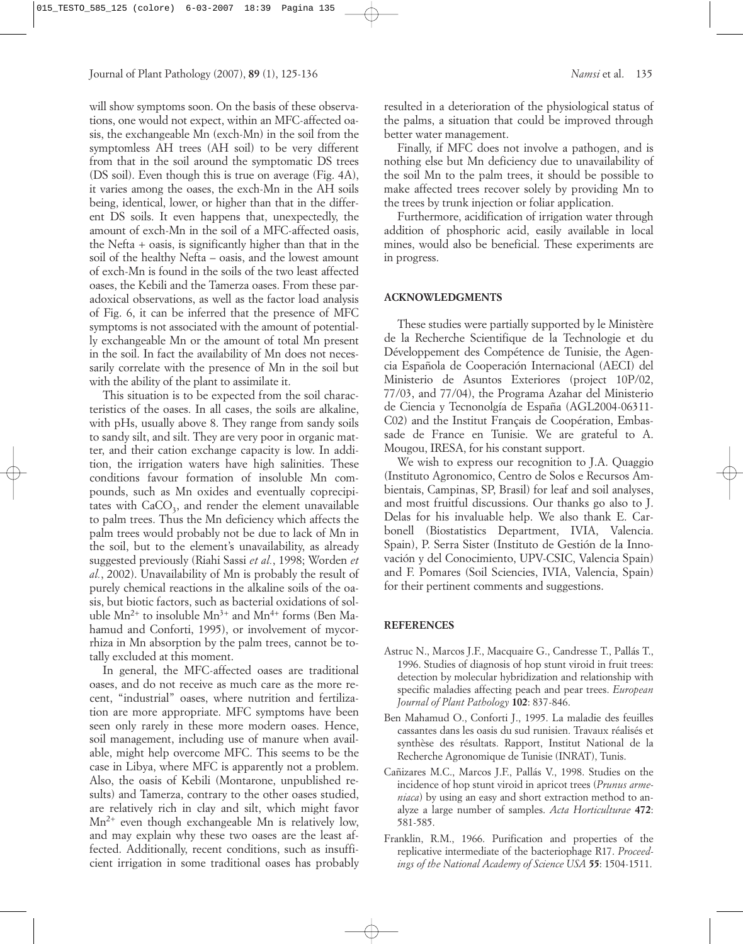will show symptoms soon. On the basis of these observations, one would not expect, within an MFC-affected oasis, the exchangeable Mn (exch-Mn) in the soil from the symptomless AH trees (AH soil) to be very different from that in the soil around the symptomatic DS trees (DS soil). Even though this is true on average (Fig. 4A), it varies among the oases, the exch-Mn in the AH soils being, identical, lower, or higher than that in the different DS soils. It even happens that, unexpectedly, the amount of exch-Mn in the soil of a MFC-affected oasis, the Nefta + oasis, is significantly higher than that in the soil of the healthy Nefta – oasis, and the lowest amount of exch-Mn is found in the soils of the two least affected oases, the Kebili and the Tamerza oases. From these paradoxical observations, as well as the factor load analysis of Fig. 6, it can be inferred that the presence of MFC symptoms is not associated with the amount of potentially exchangeable Mn or the amount of total Mn present in the soil. In fact the availability of Mn does not necessarily correlate with the presence of Mn in the soil but with the ability of the plant to assimilate it.

This situation is to be expected from the soil characteristics of the oases. In all cases, the soils are alkaline, with pHs, usually above 8. They range from sandy soils to sandy silt, and silt. They are very poor in organic matter, and their cation exchange capacity is low. In addition, the irrigation waters have high salinities. These conditions favour formation of insoluble Mn compounds, such as Mn oxides and eventually coprecipitates with  $CaCO<sub>3</sub>$ , and render the element unavailable to palm trees. Thus the Mn deficiency which affects the palm trees would probably not be due to lack of Mn in the soil, but to the element's unavailability, as already suggested previously (Riahi Sassi *et al.*, 1998; Worden *et al.*, 2002). Unavailability of Mn is probably the result of purely chemical reactions in the alkaline soils of the oasis, but biotic factors, such as bacterial oxidations of soluble  $Mn^{2+}$  to insoluble  $Mn^{3+}$  and  $Mn^{4+}$  forms (Ben Mahamud and Conforti, 1995), or involvement of mycorrhiza in Mn absorption by the palm trees, cannot be totally excluded at this moment.

In general, the MFC-affected oases are traditional oases, and do not receive as much care as the more recent, "industrial" oases, where nutrition and fertilization are more appropriate. MFC symptoms have been seen only rarely in these more modern oases. Hence, soil management, including use of manure when available, might help overcome MFC. This seems to be the case in Libya, where MFC is apparently not a problem. Also, the oasis of Kebili (Montarone, unpublished results) and Tamerza, contrary to the other oases studied, are relatively rich in clay and silt, which might favor  $Mn^{2+}$  even though exchangeable Mn is relatively low, and may explain why these two oases are the least affected. Additionally, recent conditions, such as insufficient irrigation in some traditional oases has probably

resulted in a deterioration of the physiological status of the palms, a situation that could be improved through better water management.

Finally, if MFC does not involve a pathogen, and is nothing else but Mn deficiency due to unavailability of the soil Mn to the palm trees, it should be possible to make affected trees recover solely by providing Mn to the trees by trunk injection or foliar application.

Furthermore, acidification of irrigation water through addition of phosphoric acid, easily available in local mines, would also be beneficial. These experiments are in progress.

## **ACKNOWLEDGMENTS**

These studies were partially supported by le Ministère de la Recherche Scientifique de la Technologie et du Développement des Compétence de Tunisie, the Agencia Española de Cooperación Internacional (AECI) del Ministerio de Asuntos Exteriores (project 10P/02, 77/03, and 77/04), the Programa Azahar del Ministerio de Ciencia y Tecnonolgía de España (AGL2004-06311- C02) and the Institut Français de Coopération, Embassade de France en Tunisie. We are grateful to A. Mougou, IRESA, for his constant support.

We wish to express our recognition to J.A. Quaggio (Instituto Agronomico, Centro de Solos e Recursos Ambientais, Campinas, SP, Brasil) for leaf and soil analyses, and most fruitful discussions. Our thanks go also to J. Delas for his invaluable help. We also thank E. Carbonell (Biostatistics Department, IVIA, Valencia. Spain), P. Serra Sister (Instituto de Gestión de la Innovación y del Conocimiento, UPV-CSIC, Valencia Spain) and F. Pomares (Soil Sciencies, IVIA, Valencia, Spain) for their pertinent comments and suggestions.

#### **REFERENCES**

- Astruc N., Marcos J.F., Macquaire G., Candresse T., Pallás T., 1996. Studies of diagnosis of hop stunt viroid in fruit trees: detection by molecular hybridization and relationship with specific maladies affecting peach and pear trees. *European Journal of Plant Pathology* **102**: 837-846.
- Ben Mahamud O., Conforti J., 1995. La maladie des feuilles cassantes dans les oasis du sud runisien. Travaux réalisés et synthèse des résultats. Rapport, Institut National de la Recherche Agronomique de Tunisie (INRAT), Tunis.
- Cañizares M.C., Marcos J.F., Pallás V., 1998. Studies on the incidence of hop stunt viroid in apricot trees (*Prunus armeniaca*) by using an easy and short extraction method to analyze a large number of samples. *Acta Horticulturae* **472**: 581-585.
- Franklin, R.M., 1966. Purification and properties of the replicative intermediate of the bacteriophage R17. *Proceedings of the National Academy of Science USA* **55**: 1504-1511.